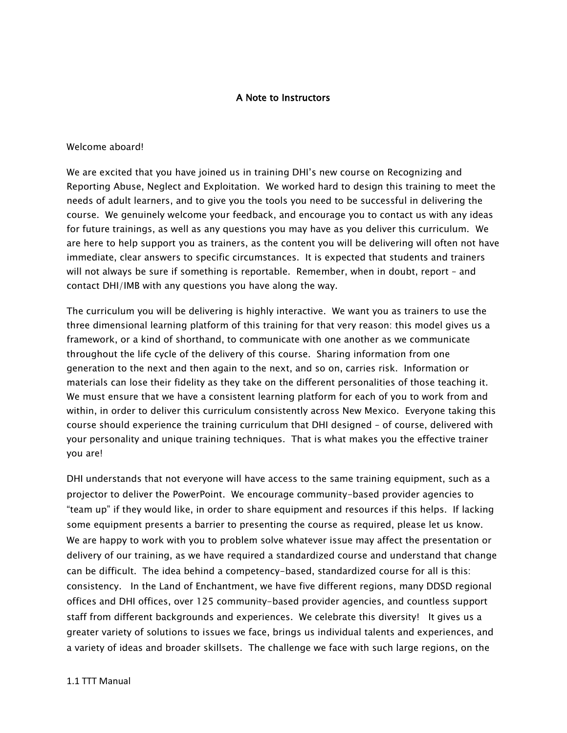## A Note to Instructors

## Welcome aboard!

We are excited that you have joined us in training DHI's new course on Recognizing and Reporting Abuse, Neglect and Exploitation. We worked hard to design this training to meet the needs of adult learners, and to give you the tools you need to be successful in delivering the course. We genuinely welcome your feedback, and encourage you to contact us with any ideas for future trainings, as well as any questions you may have as you deliver this curriculum. We are here to help support you as trainers, as the content you will be delivering will often not have immediate, clear answers to specific circumstances. It is expected that students and trainers will not always be sure if something is reportable. Remember, when in doubt, report – and contact DHI/IMB with any questions you have along the way.

The curriculum you will be delivering is highly interactive. We want you as trainers to use the three dimensional learning platform of this training for that very reason: this model gives us a framework, or a kind of shorthand, to communicate with one another as we communicate throughout the life cycle of the delivery of this course. Sharing information from one generation to the next and then again to the next, and so on, carries risk. Information or materials can lose their fidelity as they take on the different personalities of those teaching it. We must ensure that we have a consistent learning platform for each of you to work from and within, in order to deliver this curriculum consistently across New Mexico. Everyone taking this course should experience the training curriculum that DHI designed – of course, delivered with your personality and unique training techniques. That is what makes you the effective trainer you are!

DHI understands that not everyone will have access to the same training equipment, such as a projector to deliver the PowerPoint. We encourage community-based provider agencies to "team up" if they would like, in order to share equipment and resources if this helps. If lacking some equipment presents a barrier to presenting the course as required, please let us know. We are happy to work with you to problem solve whatever issue may affect the presentation or delivery of our training, as we have required a standardized course and understand that change can be difficult. The idea behind a competency-based, standardized course for all is this: consistency. In the Land of Enchantment, we have five different regions, many DDSD regional offices and DHI offices, over 125 community-based provider agencies, and countless support staff from different backgrounds and experiences. We celebrate this diversity! It gives us a greater variety of solutions to issues we face, brings us individual talents and experiences, and a variety of ideas and broader skillsets. The challenge we face with such large regions, on the